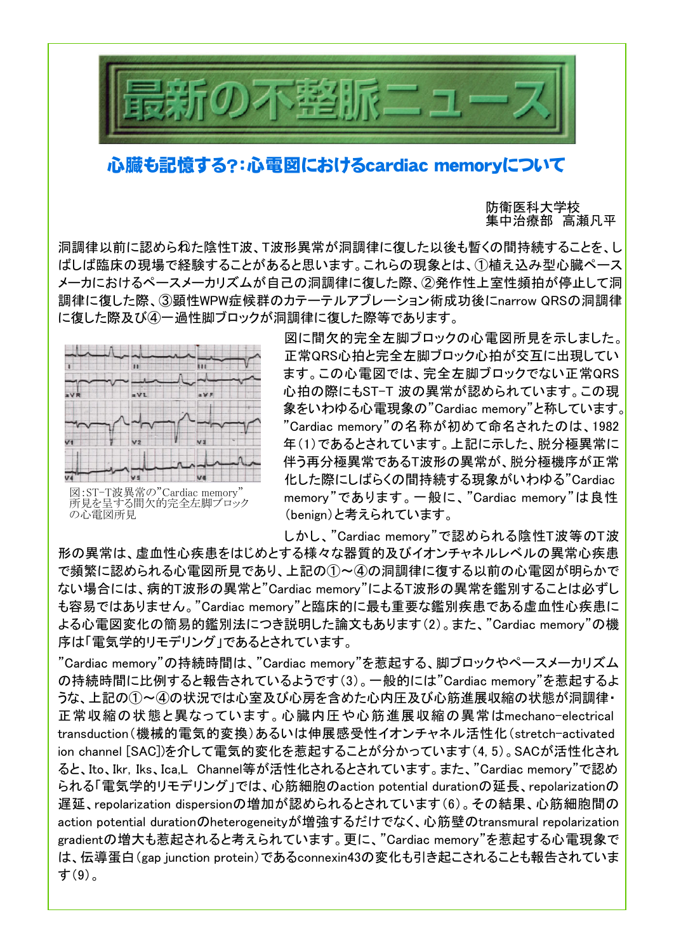

## 心臓も記憶する?:心電図におけるcardiac memoryについて

防衛医科大学校 集中治療部 高瀬凡平

洞調律以前に認められた陰性T波、T波形異常が洞調律に復した以後も暫くの間持続することを、し ばしば臨床の現場で経験することがあると思います。これらの現象とは、①植え込み型心臓ペース メーカにおけるペースメーカリズムが自己の洞調律に復した際、②発作性上室性頻拍が停止して洞 調律に復した際、③顕性WPW症候群のカテーテルアブレーション術成功後にnarrow QRSの洞調律 に復した際及び④一過性脚ブロックが洞調律に復した際等であります。



図:ST-T波異常の"Cardiac memory" 所見を呈する間欠的完全左脚ブロック の心電図所見

図に間欠的完全左脚ブロックの心電図所見を示しました。 正常QRS心拍と完全左脚ブロック心拍が交互に出現してい ます。この心電図では、完全左脚ブロックでない正常QRS 心拍の際にもST-T 波の異常が認められています。この現 象をいわゆる心電現象の"Cardiac memory"と称しています。 "Cardiac memory"の名称が初めて命名されたのは、1982 年(1)であるとされています。上記に示した、脱分極異常に 伴う再分極異常であるT波形の異常が、脱分極機序が正常 化した際にしばらくの間持続する現象がいわゆる"Cardiac memory"であります。一般に、"Cardiac memory"は良性 (benign)と考えられています。

しかし、"Cardiac memory"で認められる陰性T波等のT波

形の異常は、虚血性心疾患をはじめとする様々な器質的及びイオンチャネルレベルの異常心疾患 で頻繁に認められる心電図所見であり、上記の①~④の洞調律に復する以前の心電図が明らかで ない場合には、病的T波形の異常と"Cardiac memory"によるT波形の異常を鑑別することは必ずし も容易ではありません。"Cardiac memory"と臨床的に最も重要な鑑別疾患である虚血性心疾患に よる心電図変化の簡易的鑑別法につき説明した論文もあります(2)。また、"Cardiac memory"の機 序は「電気学的リモデリング」であるとされています。

"Cardiac memory"の持続時間は、"Cardiac memory"を惹起する、脚ブロックやペースメーカリズム の持続時間に比例すると報告されているようです(3)。一般的には"Cardiac memory"を惹起するよ うな、上記の①~④の状況では心室及び心房を含めた心内圧及び心筋進展収縮の状態が洞調律・ 正常収縮の状態と異なっています。心臓内圧や心筋進展収縮の異常はmechano-electrical transduction(機械的電気的変換)あるいは伸展感受性イオンチャネル活性化(stretch-activated ion channel [SAC])を介して電気的変化を惹起することが分かっています(4, 5)。SACが活性化され ると、Ito、Ikr,Iks、Ica,L Channel等が活性化されるとされています。また、"Cardiac memory"で認め られる「電気学的リモデリング」では、心筋細胞のaction potential durationの延長、repolarizationの 遅延、repolarization dispersionの増加が認められるとされています(6)。その結果、心筋細胞間の action potential durationのheterogeneityが増強するだけでなく、心筋壁のtransmural repolarization gradientの増大も惹起されると考えられています。更に、"Cardiac memory"を惹起する心電現象で は、伝導蛋白(gap junction protein)であるconnexin43の変化も引き起こされることも報告されていま す(9)。